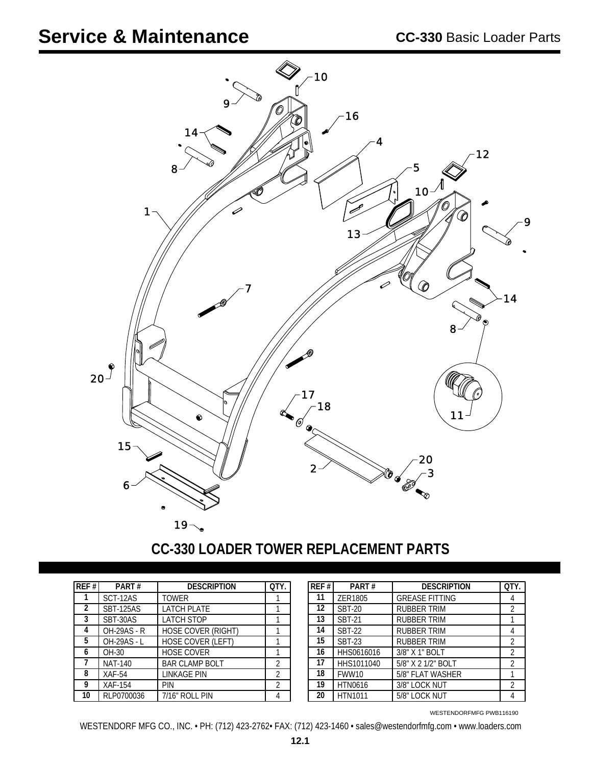

## **CC-330 LOADER TOWER REPLACEMENT PARTS**

| REF# | PART#              | <b>DESCRIPTION</b>        | OTY. |
|------|--------------------|---------------------------|------|
|      | SCT-12AS           | <b>TOWER</b>              |      |
| 2    | <b>SBT-125AS</b>   | <b>LATCH PLATE</b>        |      |
| 3    | SBT-30AS           | <b>LATCH STOP</b>         |      |
| 4    | <b>OH-29AS - R</b> | <b>HOSE COVER (RIGHT)</b> |      |
| 5    | <b>OH-29AS - L</b> | HOSE COVER (LEFT)         |      |
| 6    | OH-30              | <b>HOSE COVER</b>         |      |
|      | <b>NAT-140</b>     | <b>BAR CLAMP BOLT</b>     | 2    |
| 8    | $XAF-54$           | <b>LINKAGE PIN</b>        | 2    |
| 9    | XAF-154            | PIN                       | 2    |
| 10   | RLP0700036         | 7/16" ROLL PIN            |      |

| REF# | PART#          | <b>DESCRIPTION</b>    | OTY.           |
|------|----------------|-----------------------|----------------|
| 11   | ZER1805        | <b>GREASE FITTING</b> | 4              |
| 12   | <b>SBT-20</b>  | <b>RUBBER TRIM</b>    | $\overline{2}$ |
| 13   | <b>SBT-21</b>  | RUBBER TRIM           |                |
| 14   | <b>SBT-22</b>  | RUBBER TRIM           | 4              |
| 15   | <b>SBT-23</b>  | <b>RUBBER TRIM</b>    | 2              |
| 16   | HHS0616016     | 3/8" X 1" BOLT        | $\mathfrak{D}$ |
| 17   | HHS1011040     | 5/8" X 2 1/2" BOLT    | $\mathfrak{D}$ |
| 18   | FWW10          | 5/8" FLAT WASHER      |                |
| 19   | <b>HTN0616</b> | 3/8" LOCK NUT         | $\mathfrak{D}$ |
| 20   | <b>HTN1011</b> | 5/8" LOCK NUT         |                |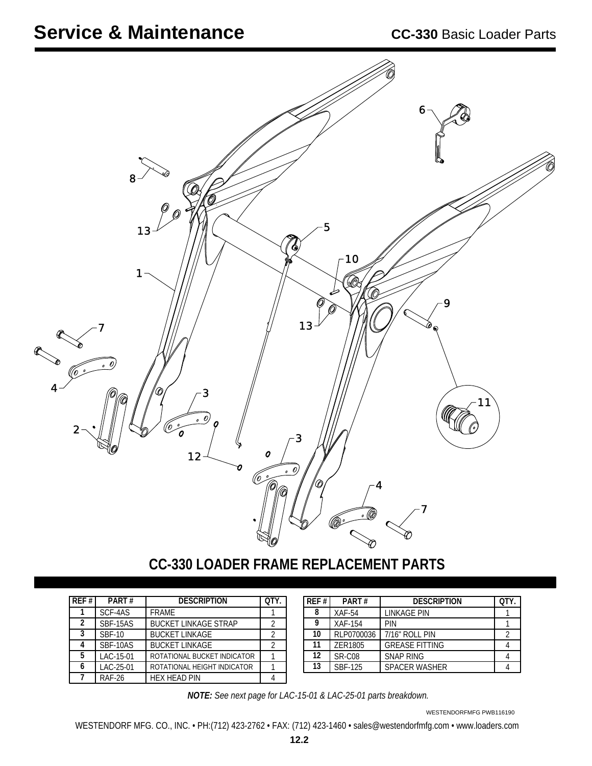

**CC-330 LOADER FRAME REPLACEMENT PARTS**

| RFF#           | PART#         | <b>DESCRIPTION</b>          |  |
|----------------|---------------|-----------------------------|--|
|                | SCF-4AS       | <b>FRAMF</b>                |  |
| $\mathfrak{p}$ | SBF-15AS      | <b>BUCKET LINKAGE STRAP</b> |  |
| 3              | <b>SBF-10</b> | <b>BUCKET LINKAGE</b>       |  |
|                | SBF-10AS      | <b>BUCKET LINKAGE</b>       |  |
| 5              | LAC-15-01     | ROTATIONAL BUCKET INDICATOR |  |
|                | LAC-25-01     | ROTATIONAL HEIGHT INDICATOR |  |
|                | <b>RAF-26</b> | HFX HFAD PIN                |  |

| REF# | PART#      | <b>DESCRIPTION</b>    | отү |
|------|------------|-----------------------|-----|
| 8    | $XAF-54$   | LINKAGE PIN           |     |
| 9    | XAF-154    | PIN                   |     |
| 10   | RLP0700036 | 7/16" ROLL PIN        |     |
| 11   | ZER1805    | <b>GREASE FITTING</b> |     |
| 12   | SR-C08     | <b>SNAP RING</b>      |     |
| 13   | SBF-125    | <b>SPACER WASHER</b>  |     |

*NOTE: See next page for LAC-15-01 & LAC-25-01 parts breakdown.*

WESTENDORFMFG PWB116190

WESTENDORF MFG. CO., INC. • PH:(712) 423-2762 • FAX: (712) 423-1460 • sales@westendorfmfg.com • www.loaders.com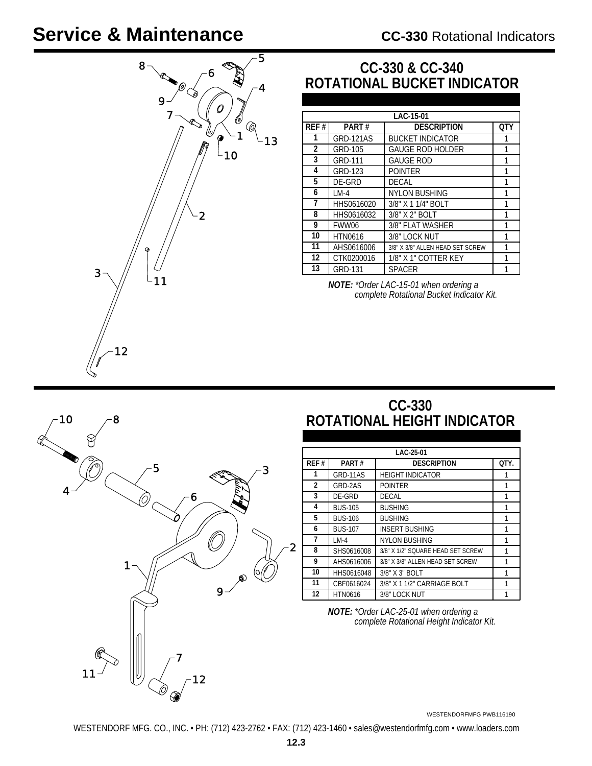# **Service & Maintenance**



## **CC-330 & CC-340 ROTATIONAL BUCKET INDICATOR**

|                |                  | LAC-15-01                        |     |
|----------------|------------------|----------------------------------|-----|
| REF#           | PART#            | <b>DESCRIPTION</b>               | OTY |
| 1              | <b>GRD-121AS</b> | <b>BUCKET INDICATOR</b>          |     |
| $\overline{2}$ | <b>GRD-105</b>   | <b>GAUGE ROD HOLDER</b>          | 1   |
| 3              | <b>GRD-111</b>   | <b>GAUGE ROD</b>                 | 1   |
| 4              | GRD-123          | <b>POINTER</b>                   | 1   |
| 5              | DE-GRD           | <b>DECAL</b>                     |     |
| 6              | $LM-4$           | <b>NYLON BUSHING</b>             |     |
| 7              | HHS0616020       | 3/8" X 1 1/4" BOLT               | 1   |
| 8              | HHS0616032       | 3/8" X 2" BOLT                   | 1   |
| 9              | FWW06            | 3/8" FLAT WASHER                 |     |
| 10             | <b>HTN0616</b>   | 3/8" LOCK NUT                    | 1   |
| 11             | AHS0616006       | 3/8" X 3/8" ALLEN HEAD SET SCREW | 1   |
| 12             | CTK0200016       | 1/8" X 1" COTTER KEY             | 1   |
| 13             | <b>GRD-131</b>   | SPACER                           |     |

*NOTE: \*Order LAC-15-01 when ordering a complete Rotational Bucket Indicator Kit.*

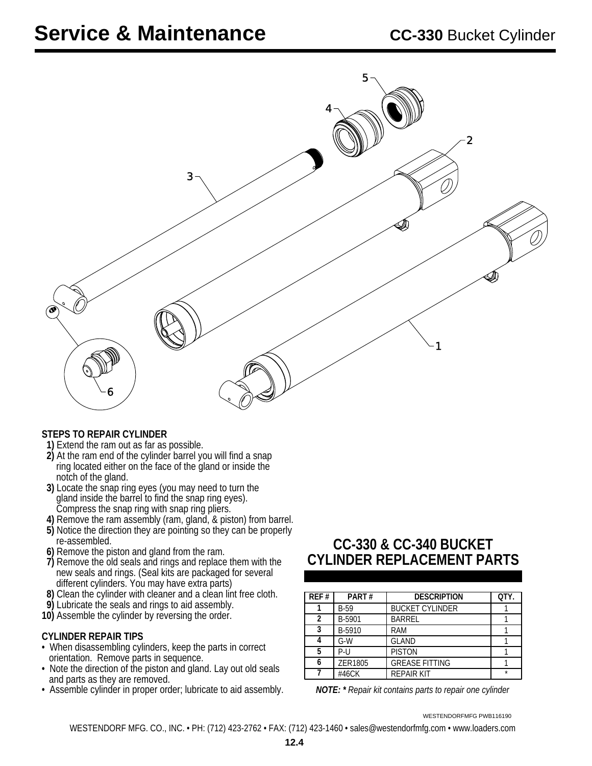

#### **STEPS TO REPAIR CYLINDER**

- **1)** Extend the ram out as far as possible.
- **2)** At the ram end of the cylinder barrel you will find a snap ring located either on the face of the gland or inside the notch of the gland.
- **3)** Locate the snap ring eyes (you may need to turn the gland inside the barrel to find the snap ring eyes). Compress the snap ring with snap ring pliers.
- **4)** Remove the ram assembly (ram, gland, & piston) from barrel.  **5)** Notice the direction they are pointing so they can be properly
- re-assembled.  **6)** Remove the piston and gland from the ram.
- **7)** Remove the old seals and rings and replace them with the new seals and rings. (Seal kits are packaged for several different cylinders. You may have extra parts)
- **8)** Clean the cylinder with cleaner and a clean lint free cloth.
- **9)** Lubricate the seals and rings to aid assembly.
- **10)** Assemble the cylinder by reversing the order.

#### **CYLINDER REPAIR TIPS**

- When disassembling cylinders, keep the parts in correct orientation. Remove parts in sequence.
- Note the direction of the piston and gland. Lay out old seals and parts as they are removed.
- Assemble cylinder in proper order; lubricate to aid assembly. *NOTE: \* Repair kit contains parts to repair one cylinder*

## **CC-330 & CC-340 BUCKET CYLINDER REPLACEMENT PARTS**

| REF# | PART#       | <b>DESCRIPTION</b>     | QTY. |
|------|-------------|------------------------|------|
|      | <b>B-59</b> | <b>BUCKET CYLINDER</b> |      |
| 2    | B-5901      | <b>BARREL</b>          |      |
| 3    | B-5910      | <b>RAM</b>             |      |
|      | $G-W$       | <b>GLAND</b>           |      |
| 5    | $P - 11$    | <b>PISTON</b>          |      |
|      | ZER1805     | <b>GREASE FITTING</b>  |      |
|      | #46CK       | <b>REPAIR KIT</b>      | ÷    |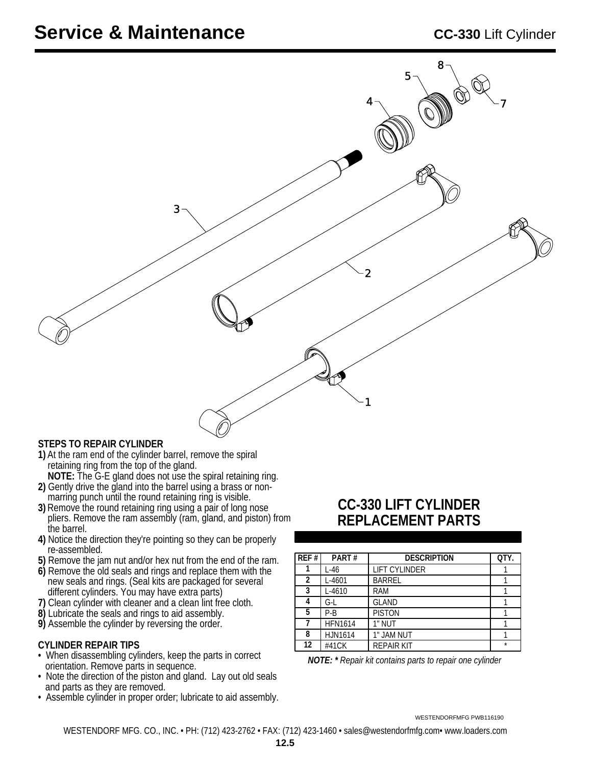

#### **STEPS TO REPAIR CYLINDER**

- **1)** At the ram end of the cylinder barrel, remove the spiral retaining ring from the top of the gland.
- **NOTE:** The G-E gland does not use the spiral retaining ring. **2)** Gently drive the gland into the barrel using a brass or non marring punch until the round retaining ring is visible.
- **3)** Remove the round retaining ring using a pair of long nose pliers. Remove the ram assembly (ram, gland, and piston) from the barrel.
- **4)** Notice the direction they're pointing so they can be properly re-assembled.
- **5)** Remove the jam nut and/or hex nut from the end of the ram.
- **6)** Remove the old seals and rings and replace them with the new seals and rings. (Seal kits are packaged for several different cylinders. You may have extra parts)
- **7)** Clean cylinder with cleaner and a clean lint free cloth.
- **8)** Lubricate the seals and rings to aid assembly.
- **9)** Assemble the cylinder by reversing the order.

#### **CYLINDER REPAIR TIPS**

- When disassembling cylinders, keep the parts in correct orientation. Remove parts in sequence.
- Note the direction of the piston and gland. Lay out old seals and parts as they are removed.
- Assemble cylinder in proper order; lubricate to aid assembly.

### **CC-330 LIFT CYLINDER REPLACEMENT PARTS**

| QTY.    |
|---------|
|         |
|         |
|         |
|         |
|         |
|         |
|         |
|         |
| $\star$ |

*NOTE: \* Repair kit contains parts to repair one cylinder*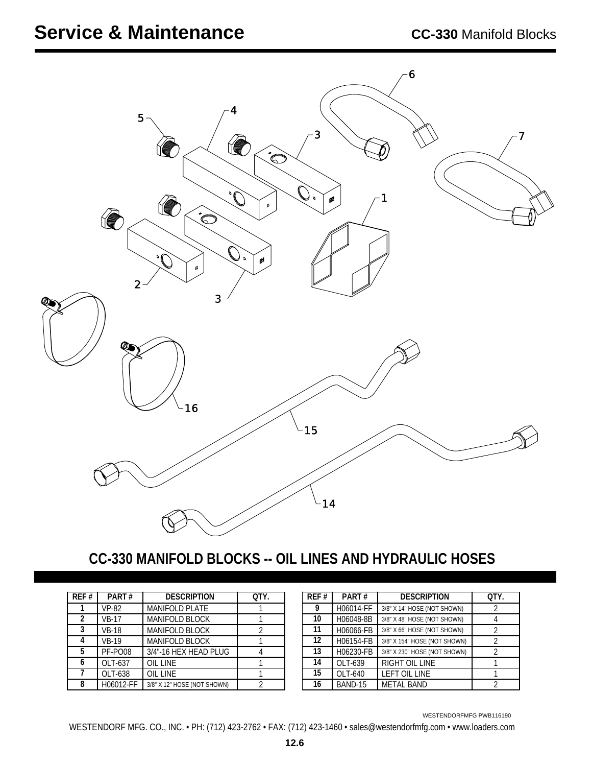

## **CC-330 MANIFOLD BLOCKS -- OIL LINES AND HYDRAULIC HOSES**

| REF#           | PART#        | <b>DESCRIPTION</b>          | QTY. |
|----------------|--------------|-----------------------------|------|
|                | <b>VP-82</b> | <b>MANIFOLD PLATE</b>       |      |
| $\overline{2}$ | <b>VB-17</b> | <b>MANIFOLD BLOCK</b>       |      |
| 3              | <b>VB-18</b> | <b>MANIFOLD BLOCK</b>       | 2    |
|                | <b>VB-19</b> | <b>MANIFOLD BLOCK</b>       |      |
| 5              | PF-PO08      | 3/4"-16 HEX HEAD PLUG       |      |
| 6              | OLT-637      | OIL LINE                    |      |
|                | OLT-638      | <b>OIL LINE</b>             |      |
| 8              | H06012-FF    | 3/8" X 12" HOSE (NOT SHOWN) |      |

| REF# | PART#     | <b>DESCRIPTION</b>           | OTY. |
|------|-----------|------------------------------|------|
| 9    | H06014-FF | 3/8" X 14" HOSE (NOT SHOWN)  |      |
| 10   | H06048-8B | 3/8" X 48" HOSE (NOT SHOWN)  |      |
| 11   | H06066-FB | 3/8" X 66" HOSE (NOT SHOWN)  |      |
| 12   | H06154-FB | 3/8" X 154" HOSE (NOT SHOWN) |      |
| 13   | H06230-FB | 3/8" X 230" HOSE (NOT SHOWN) |      |
| 14   | OLT-639   | RIGHT OIL LINE               |      |
| 15   | OLT-640   | <b>LEFT OIL LINE</b>         |      |
| 16   | BAND-15   | <b>METAL BAND</b>            |      |